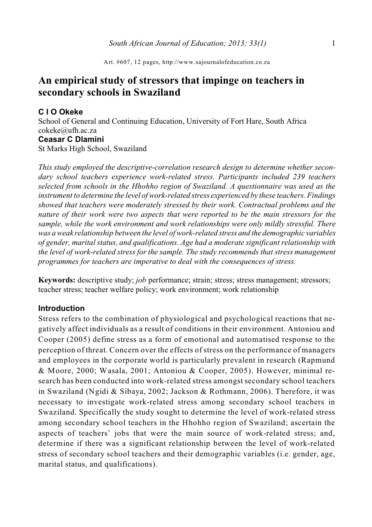Art. #607, 12 pages, http://www.sajournalofeducation.co.za

# **An empirical study of stressors that impinge on teachers in secondary schools in Swaziland**

#### **C I O Okeke**

School of General and Continuing Education, University of Fort Hare, South Africa cokeke@ufh.ac.za **Ceasar C Dlamini** St Marks High School, Swaziland

*This study employed the descriptive-correlation research design to determine whether secondary school teachers experience work-related stress. Participants included 239 teachers selected from schools in the Hhohho region of Swaziland. A questionnaire was used as the instrument to determine the level of work-related stress experienced by these teachers. Findings showed that teachers were moderately stressed by their work. Contractual problems and the nature of their work were two aspects that were reported to be the main stressors for the sample, while the work environment and work relationships were only mildly stressful. There was a weak relationship between the level of work-related stress and the demographic variables of gender, marital status, and qualifications. Age had a moderate significant relationship with the level of work-related stress for the sample. The study recommends that stress management programmes for teachers are imperative to deal with the consequences of stress.*

**Keywords:** descriptive study; *job* performance; strain; stress; stress management; stressors; teacher stress; teacher welfare policy; work environment; work relationship

### **Introduction**

Stress refers to the combination of physiological and psychological reactions that negatively affect individuals as a result of conditions in their environment. Antoniou and Cooper (2005) define stress as a form of emotional and automatised response to the perception of threat. Concern over the effects of stress on the performance of managers and employees in the corporate world is particularly prevalent in research (Rapmund & Moore, 2000; Wasala, 2001; Antoniou & Cooper, 2005). However, minimal research has been conducted into work-related stress amongst secondary school teachers in Swaziland (Ngidi & Sibaya, 2002; Jackson & Rothmann, 2006). Therefore, it was necessary to investigate work-related stress among secondary school teachers in Swaziland. Specifically the study sought to determine the level of work-related stress among secondary school teachers in the Hhohho region of Swaziland; ascertain the aspects of teachers' jobs that were the main source of work-related stress; and, determine if there was a significant relationship between the level of work-related stress of secondary school teachers and their demographic variables (i.e. gender, age, marital status, and qualifications).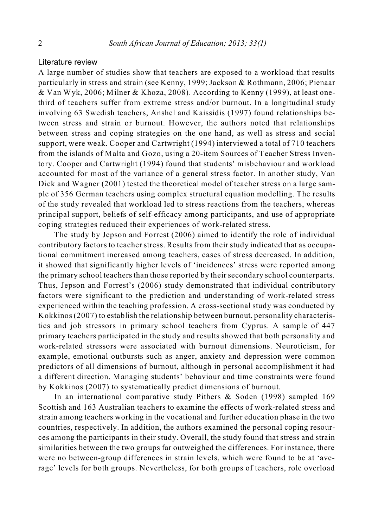### Literature review

A large number of studies show that teachers are exposed to a workload that results particularly in stress and strain (see Kenny, 1999; Jackson & Rothmann, 2006; Pienaar & Van Wyk, 2006; Milner & Khoza, 2008). According to Kenny (1999), at least onethird of teachers suffer from extreme stress and/or burnout. In a longitudinal study involving 63 Swedish teachers, Anshel and Kaissidis (1997) found relationships between stress and strain or burnout. However, the authors noted that relationships between stress and coping strategies on the one hand, as well as stress and social support, were weak. Cooper and Cartwright (1994) interviewed a total of 710 teachers from the islands of Malta and Gozo, using a 20-item Sources of Teacher Stress Inventory. Cooper and Cartwright (1994) found that students' misbehaviour and workload accounted for most of the variance of a general stress factor. In another study, Van Dick and Wagner (2001) tested the theoretical model of teacher stress on a large sample of 356 German teachers using complex structural equation modelling. The results of the study revealed that workload led to stress reactions from the teachers, whereas principal support, beliefs of self-efficacy among participants, and use of appropriate coping strategies reduced their experiences of work-related stress.

The study by Jepson and Forrest (2006) aimed to identify the role of individual contributory factors to teacher stress. Results from their study indicated that as occupational commitment increased among teachers, cases of stress decreased. In addition, it showed that significantly higher levels of 'incidences' stress were reported among the primary school teachers than those reported by their secondary school counterparts. Thus, Jepson and Forrest's (2006) study demonstrated that individual contributory factors were significant to the prediction and understanding of work-related stress experienced within the teaching profession. A cross-sectional study was conducted by Kokkinos (2007) to establish the relationship between burnout, personality characteristics and job stressors in primary school teachers from Cyprus. A sample of 447 primary teachers participated in the study and results showed that both personality and work-related stressors were associated with burnout dimensions. Neuroticism, for example, emotional outbursts such as anger, anxiety and depression were common predictors of all dimensions of burnout, although in personal accomplishment it had a different direction. Managing students' behaviour and time constraints were found by Kokkinos (2007) to systematically predict dimensions of burnout.

In an international comparative study Pithers & Soden (1998) sampled 169 Scottish and 163 Australian teachers to examine the effects of work-related stress and strain among teachers working in the vocational and further education phase in the two countries, respectively. In addition, the authors examined the personal coping resources among the participants in their study. Overall, the study found that stress and strain similarities between the two groups far outweighed the differences. For instance, there were no between-group differences in strain levels, which were found to be at 'average' levels for both groups. Nevertheless, for both groups of teachers, role overload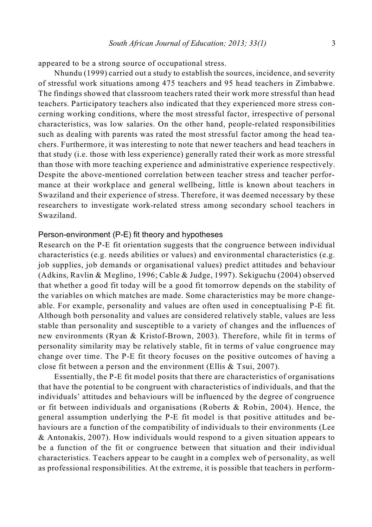appeared to be a strong source of occupational stress.

Nhundu (1999) carried out a study to establish the sources, incidence, and severity of stressful work situations among 475 teachers and 95 head teachers in Zimbabwe. The findings showed that classroom teachers rated their work more stressful than head teachers. Participatory teachers also indicated that they experienced more stress concerning working conditions, where the most stressful factor, irrespective of personal characteristics, was low salaries. On the other hand, people-related responsibilities such as dealing with parents was rated the most stressful factor among the head teachers. Furthermore, it was interesting to note that newer teachers and head teachers in that study (i.e. those with less experience) generally rated their work as more stressful than those with more teaching experience and administrative experience respectively. Despite the above-mentioned correlation between teacher stress and teacher performance at their workplace and general wellbeing, little is known about teachers in Swaziland and their experience of stress. Therefore, it was deemed necessary by these researchers to investigate work-related stress among secondary school teachers in Swaziland.

#### Person-environment (P-E) fit theory and hypotheses

Research on the P-E fit orientation suggests that the congruence between individual characteristics (e.g. needs abilities or values) and environmental characteristics (e.g. job supplies, job demands or organisational values) predict attitudes and behaviour (Adkins, Ravlin & Meglino, 1996; Cable & Judge, 1997). Sekiguchu (2004) observed that whether a good fit today will be a good fit tomorrow depends on the stability of the variables on which matches are made. Some characteristics may be more changeable. For example, personality and values are often used in conceptualising P-E fit. Although both personality and values are considered relatively stable, values are less stable than personality and susceptible to a variety of changes and the influences of new environments (Ryan & Kristof-Brown, 2003). Therefore, while fit in terms of personality similarity may be relatively stable, fit in terms of value congruence may change over time. The P-E fit theory focuses on the positive outcomes of having a close fit between a person and the environment (Ellis & Tsui, 2007).

Essentially, the P-E fit model posits that there are characteristics of organisations that have the potential to be congruent with characteristics of individuals, and that the individuals' attitudes and behaviours will be influenced by the degree of congruence or fit between individuals and organisations (Roberts & Robin, 2004). Hence, the general assumption underlying the P-E fit model is that positive attitudes and behaviours are a function of the compatibility of individuals to their environments (Lee & Antonakis, 2007). How individuals would respond to a given situation appears to be a function of the fit or congruence between that situation and their individual characteristics. Teachers appear to be caught in a complex web of personality, as well as professional responsibilities. At the extreme, it is possible that teachers in perform-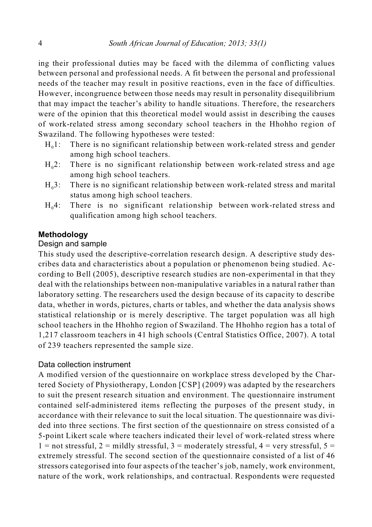ing their professional duties may be faced with the dilemma of conflicting values between personal and professional needs. A fit between the personal and professional needs of the teacher may result in positive reactions, even in the face of difficulties. However, incongruence between those needs may result in personality disequilibrium that may impact the teacher's ability to handle situations. Therefore, the researchers were of the opinion that this theoretical model would assist in describing the causes of work-related stress among secondary school teachers in the Hhohho region of Swaziland. The following hypotheses were tested:

- $H_0$ 1: There is no significant relationship between work-related stress and gender among high school teachers.
- $H<sub>0</sub>2$ : There is no significant relationship between work-related stress and age among high school teachers.
- $H<sub>0</sub>3$ : There is no significant relationship between work-related stress and marital status among high school teachers.
- $H<sub>0</sub>4$ : There is no significant relationship between work-related stress and qualification among high school teachers.

### **Methodology**

#### Design and sample

This study used the descriptive-correlation research design. A descriptive study describes data and characteristics about a population or phenomenon being studied. According to Bell (2005), descriptive research studies are non-experimental in that they deal with the relationships between non-manipulative variables in a natural rather than laboratory setting. The researchers used the design because of its capacity to describe data, whether in words, pictures, charts or tables, and whether the data analysis shows statistical relationship or is merely descriptive. The target population was all high school teachers in the Hhohho region of Swaziland. The Hhohho region has a total of 1,217 classroom teachers in 41 high schools (Central Statistics Office, 2007). A total of 239 teachers represented the sample size.

#### Data collection instrument

A modified version of the questionnaire on workplace stress developed by the Chartered Society of Physiotherapy, London [CSP] (2009) was adapted by the researchers to suit the present research situation and environment. The questionnaire instrument contained self-administered items reflecting the purposes of the present study, in accordance with their relevance to suit the local situation. The questionnaire was divided into three sections. The first section of the questionnaire on stress consisted of a 5-point Likert scale where teachers indicated their level of work-related stress where  $1 =$  not stressful,  $2 =$  mildly stressful,  $3 =$  moderately stressful,  $4 =$  very stressful,  $5 =$ extremely stressful. The second section of the questionnaire consisted of a list of 46 stressors categorised into four aspects of the teacher's job, namely, work environment, nature of the work, work relationships, and contractual. Respondents were requested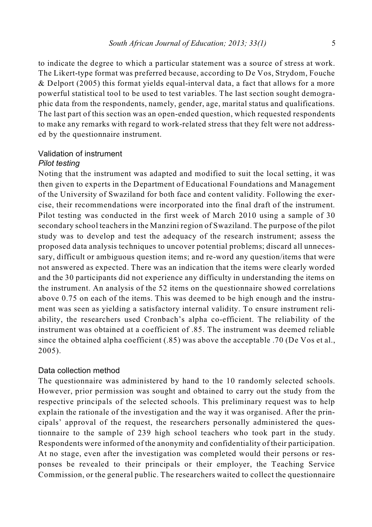to indicate the degree to which a particular statement was a source of stress at work. The Likert-type format was preferred because, according to De Vos, Strydom, Fouche & Delport (2005) this format yields equal-interval data, a fact that allows for a more powerful statistical tool to be used to test variables. The last section sought demographic data from the respondents, namely, gender, age, marital status and qualifications. The last part of this section was an open-ended question, which requested respondents to make any remarks with regard to work-related stress that they felt were not addressed by the questionnaire instrument.

### Validation of instrument

#### *Pilot testing*

Noting that the instrument was adapted and modified to suit the local setting, it was then given to experts in the Department of Educational Foundations and Management of the University of Swaziland for both face and content validity. Following the exercise, their recommendations were incorporated into the final draft of the instrument. Pilot testing was conducted in the first week of March 2010 using a sample of 30 secondary school teachers in the Manzini region of Swaziland. The purpose of the pilot study was to develop and test the adequacy of the research instrument; assess the proposed data analysis techniques to uncover potential problems; discard all unnecessary, difficult or ambiguous question items; and re-word any question/items that were not answered as expected. There was an indication that the items were clearly worded and the 30 participants did not experience any difficulty in understanding the items on the instrument. An analysis of the 52 items on the questionnaire showed correlations above 0.75 on each of the items. This was deemed to be high enough and the instrument was seen as yielding a satisfactory internal validity. To ensure instrument reliability, the researchers used Cronbach's alpha co-efficient. The reliability of the instrument was obtained at a coefficient of .85. The instrument was deemed reliable since the obtained alpha coefficient (.85) was above the acceptable .70 (De Vos et al., 2005).

#### Data collection method

The questionnaire was administered by hand to the 10 randomly selected schools. However, prior permission was sought and obtained to carry out the study from the respective principals of the selected schools. This preliminary request was to help explain the rationale of the investigation and the way it was organised. After the principals' approval of the request, the researchers personally administered the questionnaire to the sample of 239 high school teachers who took part in the study. Respondents were informed of the anonymity and confidentiality of their participation. At no stage, even after the investigation was completed would their persons or responses be revealed to their principals or their employer, the Teaching Service Commission, or the general public. The researchers waited to collect the questionnaire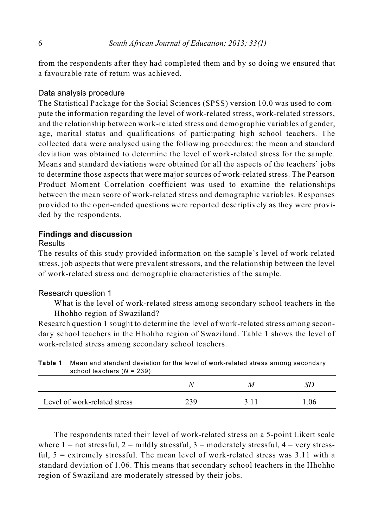from the respondents after they had completed them and by so doing we ensured that a favourable rate of return was achieved.

#### Data analysis procedure

The Statistical Package for the Social Sciences (SPSS) version 10.0 was used to compute the information regarding the level of work-related stress, work-related stressors, and the relationship between work-related stress and demographic variables of gender, age, marital status and qualifications of participating high school teachers. The collected data were analysed using the following procedures: the mean and standard deviation was obtained to determine the level of work-related stress for the sample. Means and standard deviations were obtained for all the aspects of the teachers' jobs to determine those aspects that were major sources of work-related stress. The Pearson Product Moment Correlation coefficient was used to examine the relationships between the mean score of work-related stress and demographic variables. Responses provided to the open-ended questions were reported descriptively as they were provided by the respondents.

#### **Findings and discussion**

#### Results

The results of this study provided information on the sample's level of work-related stress, job aspects that were prevalent stressors, and the relationship between the level of work-related stress and demographic characteristics of the sample.

#### Research question 1

What is the level of work-related stress among secondary school teachers in the Hhohho region of Swaziland?

Research question 1 sought to determine the level of work-related stress among secondary school teachers in the Hhohho region of Swaziland. Table 1 shows the level of work-related stress among secondary school teachers.

| school teachers $(N = 239)$  |     |   |     |
|------------------------------|-----|---|-----|
|                              |     | м |     |
| Level of work-related stress | 239 |   | .06 |

| <b>Table 1</b> Mean and standard deviation for the level of work-related stress among secondary |
|-------------------------------------------------------------------------------------------------|
| school teachers $(N = 239)$                                                                     |

The respondents rated their level of work-related stress on a 5-point Likert scale where  $1 =$  not stressful,  $2 =$  mildly stressful,  $3 =$  moderately stressful,  $4 =$  very stressful,  $5 =$  extremely stressful. The mean level of work-related stress was  $3.11$  with a standard deviation of 1.06. This means that secondary school teachers in the Hhohho region of Swaziland are moderately stressed by their jobs.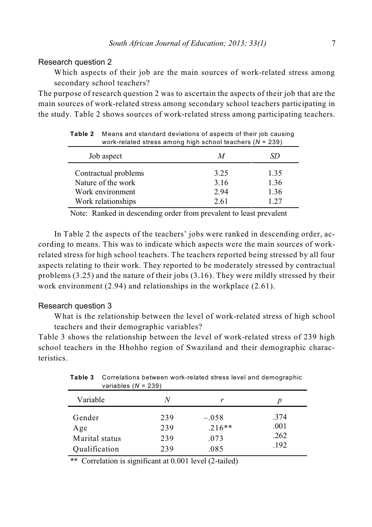#### Research question 2

Which aspects of their job are the main sources of work-related stress among secondary school teachers?

The purpose of research question 2 was to ascertain the aspects of their job that are the main sources of work-related stress among secondary school teachers participating in the study. Table 2 shows sources of work-related stress among participating teachers.

| work-related stress among high school teachers $(N = 239)$     |                      |                      |  |  |
|----------------------------------------------------------------|----------------------|----------------------|--|--|
| Job aspect                                                     | М                    | SD                   |  |  |
| Contractual problems<br>Nature of the work<br>Work environment | 3.25<br>3.16<br>2.94 | 1.35<br>1.36<br>1.36 |  |  |
| Work relationships                                             | 2.61                 | 1.27                 |  |  |

**Table 2** Means and standard deviations of aspects of their job causing work-related stress among high school teachers (*N* = 239)

Note: Ranked in descending order from prevalent to least prevalent

In Table 2 the aspects of the teachers' jobs were ranked in descending order, according to means. This was to indicate which aspects were the main sources of workrelated stress for high school teachers. The teachers reported being stressed by all four aspects relating to their work. They reported to be moderately stressed by contractual problems (3.25) and the nature of their jobs (3.16). They were mildly stressed by their work environment (2.94) and relationships in the workplace (2.61).

#### Research question 3

What is the relationship between the level of work-related stress of high school teachers and their demographic variables?

Table 3 shows the relationship between the level of work-related stress of 239 high school teachers in the Hhohho region of Swaziland and their demographic characteristics.

| variables ( $N = 239$ )                          |                          |                                     |                              |
|--------------------------------------------------|--------------------------|-------------------------------------|------------------------------|
| Variable                                         | N                        | r                                   | p                            |
| Gender<br>Age<br>Marital status<br>Oualification | 239<br>239<br>239<br>239 | $-.058$<br>$.216**$<br>.073<br>.085 | .374<br>.001<br>.262<br>.192 |

**Table 3** Correlations between work-related stress level and demographic

\*\* Correlation is significant at 0.001 level (2-tailed)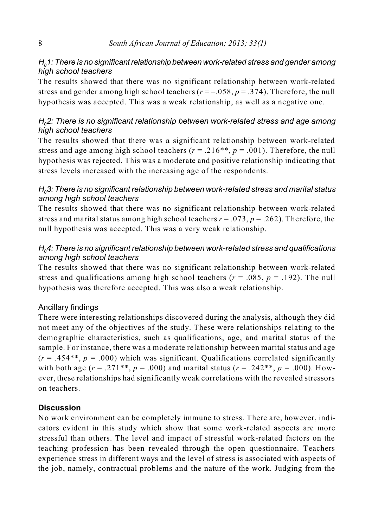### $H<sub>0</sub>1$ : There is no significant relationship between work-related stress and gender among *high school teachers*

The results showed that there was no significant relationship between work-related stress and gender among high school teachers  $(r = -0.058, p = 0.374)$ . Therefore, the null hypothesis was accepted. This was a weak relationship, as well as a negative one.

### *H02: There is no significant relationship between work-related stress and age among high school teachers*

The results showed that there was a significant relationship between work-related stress and age among high school teachers ( $r = .216$ <sup>\*\*</sup>,  $p = .001$ ). Therefore, the null hypothesis was rejected. This was a moderate and positive relationship indicating that stress levels increased with the increasing age of the respondents.

### *H03: There is no significant relationship between work-related stress and marital status among high school teachers*

The results showed that there was no significant relationship between work-related stress and marital status among high school teachers  $r = .073$ ,  $p = .262$ ). Therefore, the null hypothesis was accepted. This was a very weak relationship.

## *H04: There is no significant relationship between work-related stress and qualifications among high school teachers*

The results showed that there was no significant relationship between work-related stress and qualifications among high school teachers ( $r = .085$ ,  $p = .192$ ). The null hypothesis was therefore accepted. This was also a weak relationship.

## Ancillary findings

There were interesting relationships discovered during the analysis, although they did not meet any of the objectives of the study. These were relationships relating to the demographic characteristics, such as qualifications, age, and marital status of the sample. For instance, there was a moderate relationship between marital status and age  $(r = .454**, p = .000)$  which was significant. Qualifications correlated significantly with both age ( $r = .271$ <sup>\*\*</sup>,  $p = .000$ ) and marital status ( $r = .242$ <sup>\*\*</sup>,  $p = .000$ ). However, these relationships had significantly weak correlations with the revealed stressors on teachers.

## **Discussion**

No work environment can be completely immune to stress. There are, however, indicators evident in this study which show that some work-related aspects are more stressful than others. The level and impact of stressful work-related factors on the teaching profession has been revealed through the open questionnaire. Teachers experience stress in different ways and the level of stress is associated with aspects of the job, namely, contractual problems and the nature of the work. Judging from the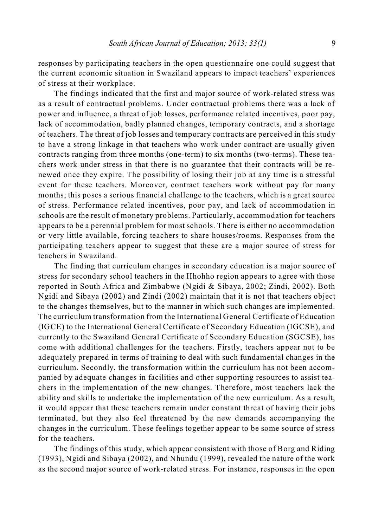responses by participating teachers in the open questionnaire one could suggest that the current economic situation in Swaziland appears to impact teachers' experiences of stress at their workplace.

The findings indicated that the first and major source of work-related stress was as a result of contractual problems. Under contractual problems there was a lack of power and influence, a threat of job losses, performance related incentives, poor pay, lack of accommodation, badly planned changes, temporary contracts, and a shortage of teachers. The threat of job losses and temporary contracts are perceived in this study to have a strong linkage in that teachers who work under contract are usually given contracts ranging from three months (one-term) to six months (two-terms). These teachers work under stress in that there is no guarantee that their contracts will be renewed once they expire. The possibility of losing their job at any time is a stressful event for these teachers. Moreover, contract teachers work without pay for many months; this poses a serious financial challenge to the teachers, which is a great source of stress. Performance related incentives, poor pay, and lack of accommodation in schools are the result of monetary problems. Particularly, accommodation for teachers appears to be a perennial problem for most schools. There is either no accommodation or very little available, forcing teachers to share houses/rooms. Responses from the participating teachers appear to suggest that these are a major source of stress for teachers in Swaziland.

The finding that curriculum changes in secondary education is a major source of stress for secondary school teachers in the Hhohho region appears to agree with those reported in South Africa and Zimbabwe (Ngidi & Sibaya, 2002; Zindi, 2002). Both Ngidi and Sibaya (2002) and Zindi (2002) maintain that it is not that teachers object to the changes themselves, but to the manner in which such changes are implemented. The curriculum transformation from the International General Certificate of Education (IGCE) to the International General Certificate of Secondary Education (IGCSE), and currently to the Swaziland General Certificate of Secondary Education (SGCSE), has come with additional challenges for the teachers. Firstly, teachers appear not to be adequately prepared in terms of training to deal with such fundamental changes in the curriculum. Secondly, the transformation within the curriculum has not been accompanied by adequate changes in facilities and other supporting resources to assist teachers in the implementation of the new changes. Therefore, most teachers lack the ability and skills to undertake the implementation of the new curriculum. As a result, it would appear that these teachers remain under constant threat of having their jobs terminated, but they also feel threatened by the new demands accompanying the changes in the curriculum. These feelings together appear to be some source of stress for the teachers.

The findings of this study, which appear consistent with those of Borg and Riding (1993), Ngidi and Sibaya (2002), and Nhundu (1999), revealed the nature of the work as the second major source of work-related stress. For instance, responses in the open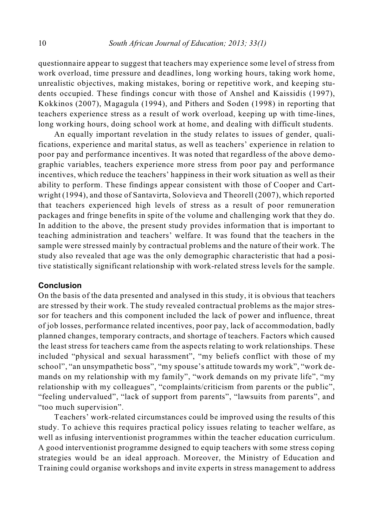questionnaire appear to suggest that teachers may experience some level of stress from work overload, time pressure and deadlines, long working hours, taking work home, unrealistic objectives, making mistakes, boring or repetitive work, and keeping students occupied. These findings concur with those of Anshel and Kaissidis (1997), Kokkinos (2007), Magagula (1994), and Pithers and Soden (1998) in reporting that teachers experience stress as a result of work overload, keeping up with time-lines, long working hours, doing school work at home, and dealing with difficult students.

An equally important revelation in the study relates to issues of gender, qualifications, experience and marital status, as well as teachers' experience in relation to poor pay and performance incentives. It was noted that regardless of the above demographic variables, teachers experience more stress from poor pay and performance incentives, which reduce the teachers' happiness in their work situation as well as their ability to perform. These findings appear consistent with those of Cooper and Cartwright (1994), and those of Santavirta, Solovieva and Theorell (2007), which reported that teachers experienced high levels of stress as a result of poor remuneration packages and fringe benefits in spite of the volume and challenging work that they do. In addition to the above, the present study provides information that is important to teaching administration and teachers' welfare. It was found that the teachers in the sample were stressed mainly by contractual problems and the nature of their work. The study also revealed that age was the only demographic characteristic that had a positive statistically significant relationship with work-related stress levels for the sample.

#### **Conclusion**

On the basis of the data presented and analysed in this study, it is obvious that teachers are stressed by their work. The study revealed contractual problems as the major stressor for teachers and this component included the lack of power and influence, threat of job losses, performance related incentives, poor pay, lack of accommodation, badly planned changes, temporary contracts, and shortage of teachers. Factors which caused the least stress for teachers came from the aspects relating to work relationships. These included "physical and sexual harassment", "my beliefs conflict with those of my school", "an unsympathetic boss", "my spouse's attitude towards my work", "work demands on my relationship with my family", "work demands on my private life", "my relationship with my colleagues", "complaints/criticism from parents or the public", "feeling undervalued", "lack of support from parents", "lawsuits from parents", and "too much supervision".

Teachers' work-related circumstances could be improved using the results of this study. To achieve this requires practical policy issues relating to teacher welfare, as well as infusing interventionist programmes within the teacher education curriculum. A good interventionist programme designed to equip teachers with some stress coping strategies would be an ideal approach. Moreover, the Ministry of Education and Training could organise workshops and invite experts in stress management to address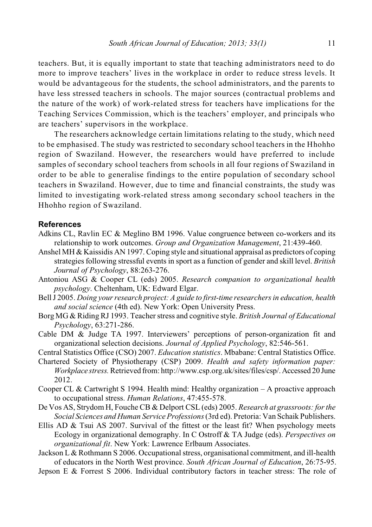teachers. But, it is equally important to state that teaching administrators need to do more to improve teachers' lives in the workplace in order to reduce stress levels. It would be advantageous for the students, the school administrators, and the parents to have less stressed teachers in schools. The major sources (contractual problems and the nature of the work) of work-related stress for teachers have implications for the Teaching Services Commission, which is the teachers' employer, and principals who are teachers' supervisors in the workplace.

The researchers acknowledge certain limitations relating to the study, which need to be emphasised. The study was restricted to secondary school teachers in the Hhohho region of Swaziland. However, the researchers would have preferred to include samples of secondary school teachers from schools in all four regions of Swaziland in order to be able to generalise findings to the entire population of secondary school teachers in Swaziland. However, due to time and financial constraints, the study was limited to investigating work-related stress among secondary school teachers in the Hhohho region of Swaziland.

#### **References**

- Adkins CL, Ravlin EC & Meglino BM 1996. Value congruence between co-workers and its relationship to work outcomes. *Group and Organization Management*, 21:439-460.
- Anshel MH & Kaissidis AN 1997. Coping style and situational appraisal as predictors of coping strategies following stressful events in sport as a function of gender and skill level. *British Journal of Psychology*, 88:263-276.
- Antoniou ASG & Cooper CL (eds) 2005. *Research companion to organizational health psychology*. Cheltenham, UK: Edward Elgar.
- Bell J 2005. *Doing your research project: A guide to first-time researchers in education, health and social science* (4th ed). New York: Open University Press.
- Borg MG & Riding RJ 1993. Teacher stress and cognitive style. *British Journal of Educational Psychology*, 63:271-286.
- Cable DM & Judge TA 1997. Interviewers' perceptions of person-organization fit and organizational selection decisions. *Journal of Applied Psychology*, 82:546-561.
- Central Statistics Office (CSO) 2007. *Education statistics*. Mbabane: Central Statistics Office.
- Chartered Society of Physiotherapy (CSP) 2009. *Health and safety information paper: Workplace stress.*Retrieved from: http://www.csp.org.uk/sites/files/csp/. Accessed 20 June 2012.
- Cooper CL & Cartwright S 1994. Health mind: Healthy organization A proactive approach to occupational stress. *Human Relations*, 47:455-578.
- De Vos AS, Strydom H, Fouche CB & Delport CSL (eds) 2005. *Research at grassroots: for the Social Sciences and Human Service Professions*(3rd ed). Pretoria: Van Schaik Publishers.
- Ellis AD & Tsui AS 2007. Survival of the fittest or the least fit? When psychology meets Ecology in organizational demography. In C Ostroff & TA Judge (eds). *Perspectives on organizational fit*. New York: Lawrence Erlbaum Associates.
- Jackson L & Rothmann S 2006. Occupational stress, organisational commitment, and ill-health of educators in the North West province. *South African Journal of Education*, 26:75-95.
- Jepson E & Forrest S 2006. Individual contributory factors in teacher stress: The role of